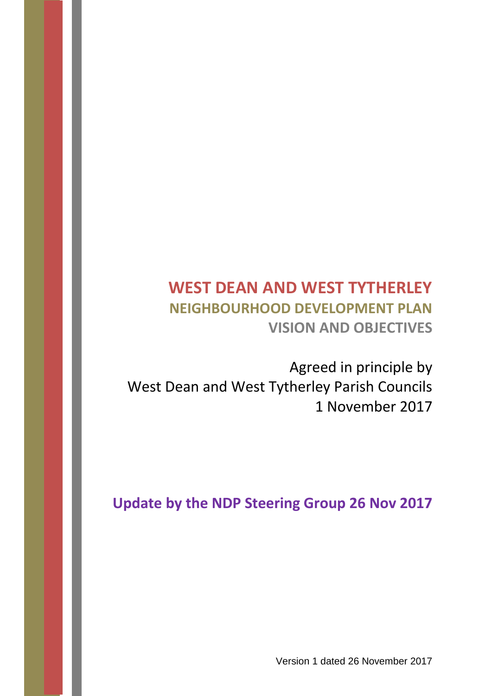# **WEST DEAN AND WEST TYTHERLEY NEIGHBOURHOOD DEVELOPMENT PLAN VISION AND OBJECTIVES**

Agreed in principle by West Dean and West Tytherley Parish Councils 1 November 2017

**Update by the NDP Steering Group 26 Nov 2017**

Version 1 dated 26 November 2017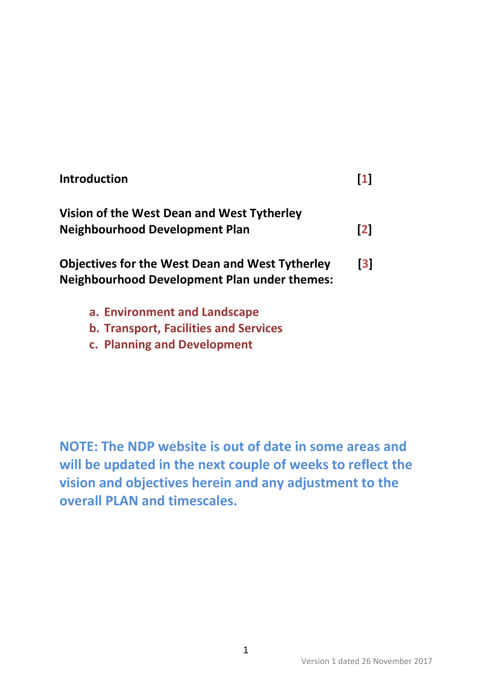| <b>Introduction</b>                                                                                                                                                                                  | $\boxed{1}$           |
|------------------------------------------------------------------------------------------------------------------------------------------------------------------------------------------------------|-----------------------|
| Vision of the West Dean and West Tytherley<br><b>Neighbourhood Development Plan</b><br><b>Objectives for the West Dean and West Tytherley</b><br><b>Neighbourhood Development Plan under themes:</b> | $\mathbf{[2]}$<br>[3] |
|                                                                                                                                                                                                      |                       |
| <b>b. Transport, Facilities and Services</b>                                                                                                                                                         |                       |
| c. Planning and Development                                                                                                                                                                          |                       |

**NOTE: The NDP website is out of date in some areas and will be updated in the next couple of weeks to reflect the vision and objectives herein and any adjustment to the overall PLAN and timescales.**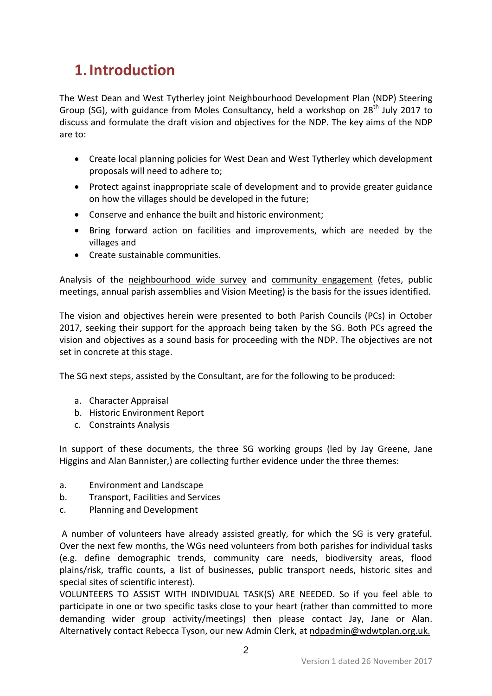#### **1.Introduction**

The West Dean and West Tytherley joint Neighbourhood Development Plan (NDP) Steering Group (SG), with guidance from Moles Consultancy, held a workshop on  $28<sup>th</sup>$  July 2017 to discuss and formulate the draft vision and objectives for the NDP. The key aims of the NDP are to:

- Create local planning policies for West Dean and West Tytherley which development proposals will need to adhere to;
- Protect against inappropriate scale of development and to provide greater guidance on how the villages should be developed in the future;
- Conserve and enhance the built and historic environment;
- Bring forward action on facilities and improvements, which are needed by the villages and
- Create sustainable communities.

Analysis of the neighbourhood wide survey and community engagement (fetes, public meetings, annual parish assemblies and Vision Meeting) is the basis for the issues identified.

The vision and objectives herein were presented to both Parish Councils (PCs) in October 2017, seeking their support for the approach being taken by the SG. Both PCs agreed the vision and objectives as a sound basis for proceeding with the NDP. The objectives are not set in concrete at this stage.

The SG next steps, assisted by the Consultant, are for the following to be produced:

- a. Character Appraisal
- b. Historic Environment Report
- c. Constraints Analysis

In support of these documents, the three SG working groups (led by Jay Greene, Jane Higgins and Alan Bannister,) are collecting further evidence under the three themes:

- a. Environment and Landscape
- b. Transport, Facilities and Services
- c. Planning and Development

A number of volunteers have already assisted greatly, for which the SG is very grateful. Over the next few months, the WGs need volunteers from both parishes for individual tasks (e.g. define demographic trends, community care needs, biodiversity areas, flood plains/risk, traffic counts, a list of businesses, public transport needs, historic sites and special sites of scientific interest).

VOLUNTEERS TO ASSIST WITH INDIVIDUAL TASK(S) ARE NEEDED. So if you feel able to participate in one or two specific tasks close to your heart (rather than committed to more demanding wider group activity/meetings) then please contact Jay, Jane or Alan. Alternatively contact Rebecca Tyson, our new Admin Clerk, at ndpadmin@wdwtplan.org.uk.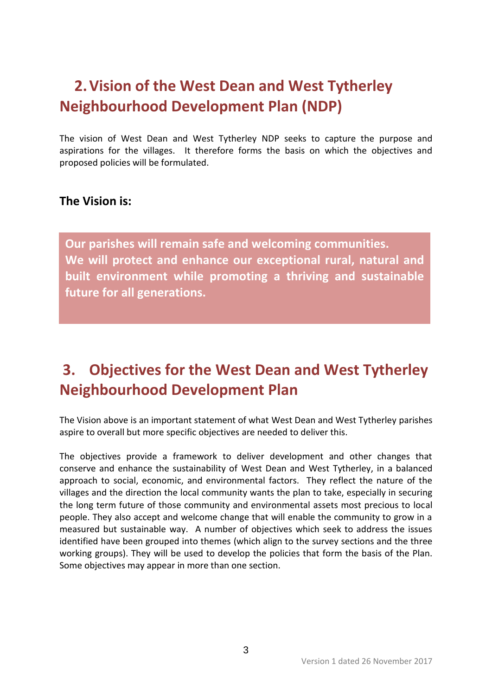### **2.Vision of the West Dean and West Tytherley Neighbourhood Development Plan (NDP)**

The vision of West Dean and West Tytherley NDP seeks to capture the purpose and aspirations for the villages. It therefore forms the basis on which the objectives and proposed policies will be formulated.

#### **The Vision is:**

**Our parishes will remain safe and welcoming communities. We will protect and enhance our exceptional rural, natural and built environment while promoting a thriving and sustainable future for all generations.**

## **3. Objectives for the West Dean and West Tytherley Neighbourhood Development Plan**

The Vision above is an important statement of what West Dean and West Tytherley parishes aspire to overall but more specific objectives are needed to deliver this.

The objectives provide a framework to deliver development and other changes that conserve and enhance the sustainability of West Dean and West Tytherley, in a balanced approach to social, economic, and environmental factors. They reflect the nature of the villages and the direction the local community wants the plan to take, especially in securing the long term future of those community and environmental assets most precious to local people. They also accept and welcome change that will enable the community to grow in a measured but sustainable way. A number of objectives which seek to address the issues identified have been grouped into themes (which align to the survey sections and the three working groups). They will be used to develop the policies that form the basis of the Plan. Some objectives may appear in more than one section.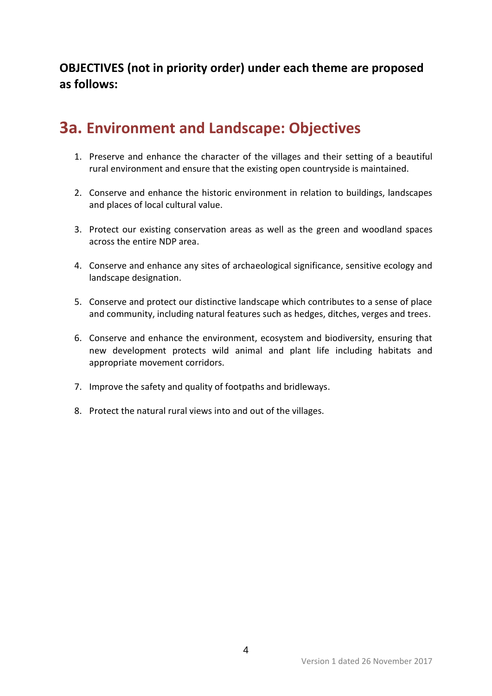#### **OBJECTIVES (not in priority order) under each theme are proposed as follows:**

#### **3a. Environment and Landscape: Objectives**

- 1. Preserve and enhance the character of the villages and their setting of a beautiful rural environment and ensure that the existing open countryside is maintained.
- 2. Conserve and enhance the historic environment in relation to buildings, landscapes and places of local cultural value.
- 3. Protect our existing conservation areas as well as the green and woodland spaces across the entire NDP area.
- 4. Conserve and enhance any sites of archaeological significance, sensitive ecology and landscape designation.
- 5. Conserve and protect our distinctive landscape which contributes to a sense of place and community, including natural features such as hedges, ditches, verges and trees.
- 6. Conserve and enhance the environment, ecosystem and biodiversity, ensuring that new development protects wild animal and plant life including habitats and appropriate movement corridors.
- 7. Improve the safety and quality of footpaths and bridleways.
- 8. Protect the natural rural views into and out of the villages.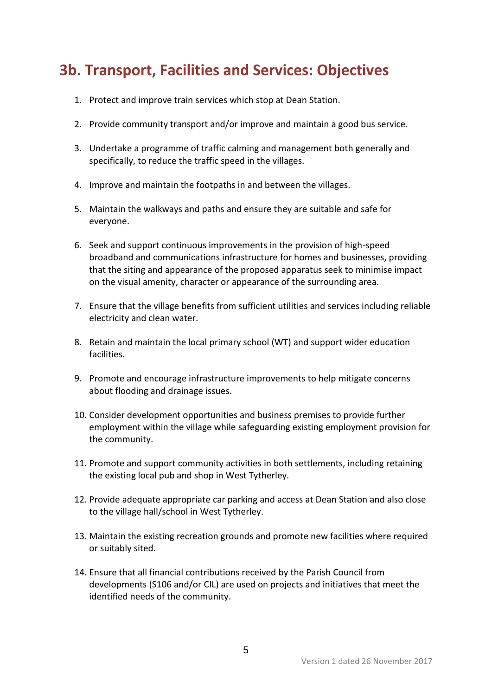#### **3b. Transport, Facilities and Services: Objectives**

- 1. Protect and improve train services which stop at Dean Station.
- 2. Provide community transport and/or improve and maintain a good bus service.
- 3. Undertake a programme of traffic calming and management both generally and specifically, to reduce the traffic speed in the villages.
- 4. Improve and maintain the footpaths in and between the villages.
- 5. Maintain the walkways and paths and ensure they are suitable and safe for everyone.
- 6. Seek and support continuous improvements in the provision of high-speed broadband and communications infrastructure for homes and businesses, providing that the siting and appearance of the proposed apparatus seek to minimise impact on the visual amenity, character or appearance of the surrounding area.
- 7. Ensure that the village benefits from sufficient utilities and services including reliable electricity and clean water.
- 8. Retain and maintain the local primary school (WT) and support wider education facilities.
- 9. Promote and encourage infrastructure improvements to help mitigate concerns about flooding and drainage issues.
- 10. Consider development opportunities and business premises to provide further employment within the village while safeguarding existing employment provision for the community.
- 11. Promote and support community activities in both settlements, including retaining the existing local pub and shop in West Tytherley.
- 12. Provide adequate appropriate car parking and access at Dean Station and also close to the village hall/school in West Tytherley.
- 13. Maintain the existing recreation grounds and promote new facilities where required or suitably sited.
- 14. Ensure that all financial contributions received by the Parish Council from developments (S106 and/or CIL) are used on projects and initiatives that meet the identified needs of the community.